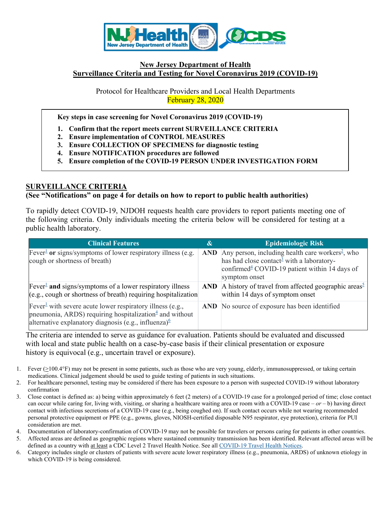

## **New Jersey Department of Health Surveillance Criteria and Testing for Novel Coronavirus 2019 (COVID-19)**

Protocol for Healthcare Providers and Local Health Departments February 28, 2020

**Key steps in case screening for Novel Coronavirus 2019 (COVID-19)**

- **1. Confirm that the report meets current SURVEILLANCE CRITERIA**
- **2. Ensure implementation of CONTROL MEASURES**
- **3. Ensure COLLECTION OF SPECIMENS for diagnostic testing**
- **4. Ensure NOTIFICATION procedures are followed**
- **5. Ensure completion of the COVID-19 PERSON UNDER INVESTIGATION FORM**

# **SURVEILLANCE CRITERIA**

#### **(See "Notifications" on page 4 for details on how to report to public health authorities)**

To rapidly detect COVID-19, NJDOH requests health care providers to report patients meeting one of the following criteria. Only individuals meeting the criteria below will be considered for testing at a public health laboratory.

| <b>Clinical Features</b>                                                                                                                                                                                                       | &          | <b>Epidemiologic Risk</b>                                                                                                                                                                  |
|--------------------------------------------------------------------------------------------------------------------------------------------------------------------------------------------------------------------------------|------------|--------------------------------------------------------------------------------------------------------------------------------------------------------------------------------------------|
| Fever <sup>1</sup> or signs/symptoms of lower respiratory illness (e.g.<br>cough or shortness of breath)                                                                                                                       | <b>AND</b> | Any person, including health care workers <sup>2</sup> , who<br>has had close contact <sup>3</sup> with a laboratory-<br>confirmed $4$ COVID-19 patient within 14 days of<br>symptom onset |
| $\text{Fever}^{\perp}$ and signs/symptoms of a lower respiratory illness<br>(e.g., cough or shortness of breath) requiring hospitalization                                                                                     | AND -      | A history of travel from affected geographic areas <sup>5</sup><br>within 14 days of symptom onset                                                                                         |
| Fever <sup>1</sup> with severe acute lower respiratory illness (e.g.,<br>pneumonia, ARDS) requiring hospitalization $\frac{4}{3}$ and without<br>alternative explanatory diagnosis (e.g., influenza) <sup><math>6</math></sup> |            | AND No source of exposure has been identified                                                                                                                                              |

The criteria are intended to serve as guidance for evaluation. Patients should be evaluated and discussed with local and state public health on a case-by-case basis if their clinical presentation or exposure history is equivocal (e.g., uncertain travel or exposure).

- 1. Fever  $(\geq 100.4^\circ F)$  may not be present in some patients, such as those who are very young, elderly, immunosuppressed, or taking certain medications. Clinical judgement should be used to guide testing of patients in such situations.
- 2. For healthcare personnel, testing may be considered if there has been exposure to a person with suspected COVID-19 without laboratory confirmation
- 3. Close contact is defined as: a) being within approximately 6 feet (2 meters) of a COVID-19 case for a prolonged period of time; close contact can occur while caring for, living with, visiting, or sharing a healthcare waiting area or room with a COVID-19 case *– or –* b) having direct contact with infectious secretions of a COVID-19 case (e.g., being coughed on). If such contact occurs while not wearing recommended personal protective equipment or PPE (e.g., gowns, gloves, NIOSH-certified disposable N95 respirator, eye protection), criteria for PUI consideration are met.

4. Documentation of laboratory-confirmation of COVID-19 may not be possible for travelers or persons caring for patients in other countries.

5. Affected areas are defined as geographic regions where sustained community transmission has been identified. Relevant affected areas will be defined as a country with at least a CDC Level 2 Travel Health Notice. See all [COVID-19 Travel Health Notices.](https://www.cdc.gov/coronavirus/2019-ncov/travelers/)

6. Category includes single or clusters of patients with severe acute lower respiratory illness (e.g., pneumonia, ARDS) of unknown etiology in which COVID-19 is being considered.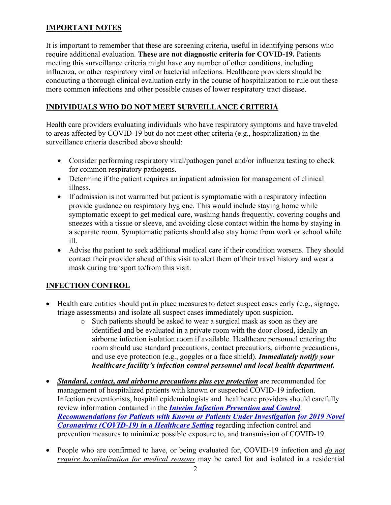# **IMPORTANT NOTES**

It is important to remember that these are screening criteria, useful in identifying persons who require additional evaluation. **These are not diagnostic criteria for COVID-19.** Patients meeting this surveillance criteria might have any number of other conditions, including influenza, or other respiratory viral or bacterial infections. Healthcare providers should be conducting a thorough clinical evaluation early in the course of hospitalization to rule out these more common infections and other possible causes of lower respiratory tract disease.

# **INDIVIDUALS WHO DO NOT MEET SURVEILLANCE CRITERIA**

Health care providers evaluating individuals who have respiratory symptoms and have traveled to areas affected by COVID-19 but do not meet other criteria (e.g., hospitalization) in the surveillance criteria described above should:

- Consider performing respiratory viral/pathogen panel and/or influenza testing to check for common respiratory pathogens.
- Determine if the patient requires an inpatient admission for management of clinical illness.
- If admission is not warranted but patient is symptomatic with a respiratory infection provide guidance on respiratory hygiene. This would include staying home while symptomatic except to get medical care, washing hands frequently, covering coughs and sneezes with a tissue or sleeve, and avoiding close contact within the home by staying in a separate room. Symptomatic patients should also stay home from work or school while ill.
- Advise the patient to seek additional medical care if their condition worsens. They should contact their provider ahead of this visit to alert them of their travel history and wear a mask during transport to/from this visit.

# **INFECTION CONTROL**

- Health care entities should put in place measures to detect suspect cases early (e.g., signage, triage assessments) and isolate all suspect cases immediately upon suspicion.
	- o Such patients should be asked to wear a surgical mask as soon as they are identified and be evaluated in a private room with the door closed, ideally an airborne infection isolation room if available. Healthcare personnel entering the room should use standard precautions, contact precautions, airborne precautions, and use eye protection (e.g., goggles or a face shield). *Immediately notify your healthcare facility's infection control personnel and local health department.*
- *Standard, contact, and airborne precautions plus eye protection* are recommended for management of hospitalized patients with known or suspected COVID-19 infection. Infection preventionists, hospital epidemiologists and healthcare providers should carefully review information contained in the *[Interim Infection Prevention and](https://www.cdc.gov/coronavirus/2019-nCoV/hcp/infection-control.html) Control [Recommendations for Patients with Known or Patients Under Investigation for 2019 Novel](https://www.cdc.gov/coronavirus/2019-nCoV/hcp/infection-control.html)  [Coronavirus \(COVID-19\) in a Healthcare Setting](https://www.cdc.gov/coronavirus/2019-nCoV/hcp/infection-control.html)* regarding infection control and prevention measures to minimize possible exposure to, and transmission of COVID-19.
- People who are confirmed to have, or being evaluated for, COVID-19 infection and *do not require hospitalization for medical reasons* may be cared for and isolated in a residential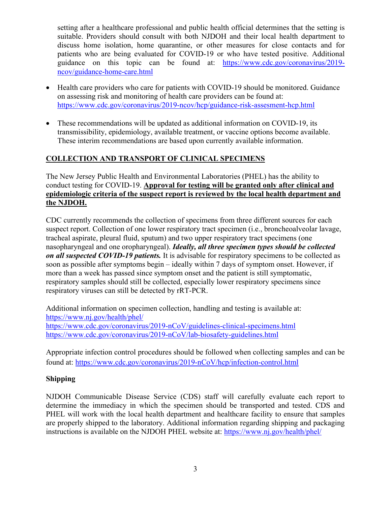setting after a healthcare professional and public health official determines that the setting is suitable. Providers should consult with both NJDOH and their local health department to discuss home isolation, home quarantine, or other measures for close contacts and for patients who are being evaluated for COVID-19 or who have tested positive. Additional guidance on this topic can be found at: [https://www.cdc.gov/coronavirus/2019](https://www.cdc.gov/coronavirus/2019-ncov/guidance-home-care.html) [ncov/guidance-home-care.html](https://www.cdc.gov/coronavirus/2019-ncov/guidance-home-care.html)

- Health care providers who care for patients with COVID-19 should be monitored. Guidance on assessing risk and monitoring of health care providers can be found at: <https://www.cdc.gov/coronavirus/2019-ncov/hcp/guidance-risk-assesment-hcp.html>
- These recommendations will be updated as additional information on COVID-19, its transmissibility, epidemiology, available treatment, or vaccine options become available. These interim recommendations are based upon currently available information.

# **COLLECTION AND TRANSPORT OF CLINICAL SPECIMENS**

The New Jersey Public Health and Environmental Laboratories (PHEL) has the ability to conduct testing for COVID-19. **Approval for testing will be granted only after clinical and epidemiologic criteria of the suspect report is reviewed by the local health department and the NJDOH.**

CDC currently recommends the collection of specimens from three different sources for each suspect report. Collection of one lower respiratory tract specimen (i.e., broncheoalveolar lavage, tracheal aspirate, pleural fluid, sputum) and two upper respiratory tract specimens (one nasopharyngeal and one oropharyngeal). *Ideally, all three specimen types should be collected on all suspected COVID-19 patients.* It is advisable for respiratory specimens to be collected as soon as possible after symptoms begin – ideally within 7 days of symptom onset. However, if more than a week has passed since symptom onset and the patient is still symptomatic, respiratory samples should still be collected, especially lower respiratory specimens since respiratory viruses can still be detected by rRT-PCR.

Additional information on specimen collection, handling and testing is available at: <https://www.nj.gov/health/phel/> <https://www.cdc.gov/coronavirus/2019-nCoV/guidelines-clinical-specimens.html> <https://www.cdc.gov/coronavirus/2019-nCoV/lab-biosafety-guidelines.html>

Appropriate infection control procedures should be followed when collecting samples and can be found at: <https://www.cdc.gov/coronavirus/2019-nCoV/hcp/infection-control.html>

# **Shipping**

NJDOH Communicable Disease Service (CDS) staff will carefully evaluate each report to determine the immediacy in which the specimen should be transported and tested. CDS and PHEL will work with the local health department and healthcare facility to ensure that samples are properly shipped to the laboratory. Additional information regarding shipping and packaging instructions is available on the NJDOH PHEL website at:<https://www.nj.gov/health/phel/>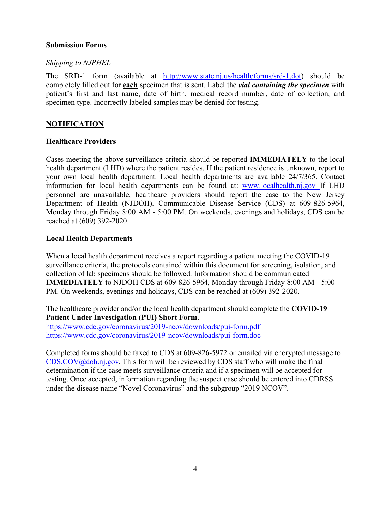#### **Submission Forms**

## *Shipping to NJPHEL*

The SRD-1 form (available at [http://www.state.nj.us/health/forms/srd-1.dot\)](http://www.state.nj.us/health/forms/srd-1.dot) should be completely filled out for **each** specimen that is sent. Label the *vial containing the specimen* with patient's first and last name, date of birth, medical record number, date of collection, and specimen type. Incorrectly labeled samples may be denied for testing.

# **NOTIFICATION**

## **Healthcare Providers**

Cases meeting the above surveillance criteria should be reported **IMMEDIATELY** to the local health department (LHD) where the patient resides. If the patient residence is unknown, report to your own local health department. Local health departments are available 24/7/365. Contact information for local health departments can be found at: [www.localhealth.nj.gov](http://www.localhealth.nj.gov/) If LHD personnel are unavailable, healthcare providers should report the case to the New Jersey Department of Health (NJDOH), Communicable Disease Service (CDS) at 609-826-5964, Monday through Friday 8:00 AM - 5:00 PM. On weekends, evenings and holidays, CDS can be reached at (609) 392-2020.

## **Local Health Departments**

When a local health department receives a report regarding a patient meeting the COVID-19 surveillance criteria, the protocols contained within this document for screening, isolation, and collection of lab specimens should be followed. Information should be communicated **IMMEDIATELY** to NJDOH CDS at 609-826-5964, Monday through Friday 8:00 AM - 5:00 PM. On weekends, evenings and holidays, CDS can be reached at (609) 392-2020.

The healthcare provider and/or the local health department should complete the **COVID-19 Patient Under Investigation (PUI) Short Form**.

<https://www.cdc.gov/coronavirus/2019-ncov/downloads/pui-form.pdf> <https://www.cdc.gov/coronavirus/2019-ncov/downloads/pui-form.doc>

Completed forms should be faxed to CDS at 609-826-5972 or emailed via encrypted message to  $CDS.COV@doh.ni.gov$ . This form will be reviewed by CDS staff who will make the final determination if the case meets surveillance criteria and if a specimen will be accepted for testing. Once accepted, information regarding the suspect case should be entered into CDRSS under the disease name "Novel Coronavirus" and the subgroup "2019 NCOV".